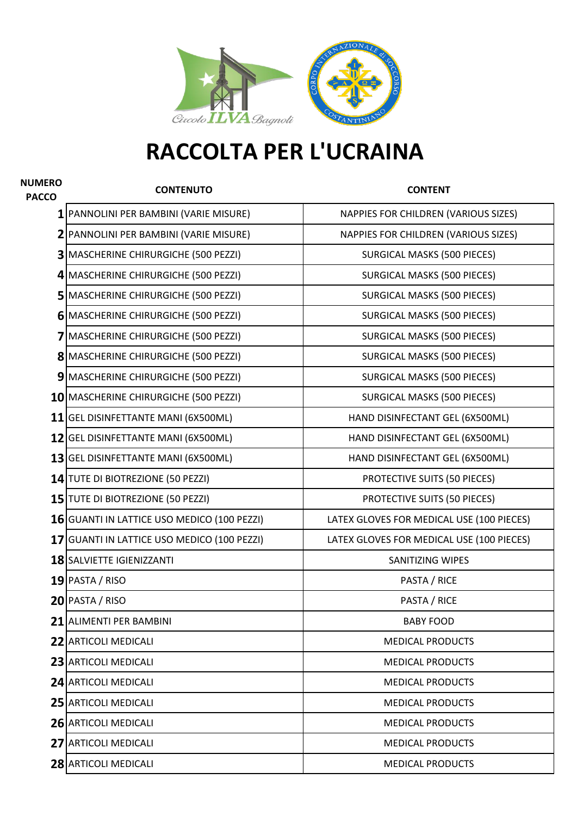

## **RACCOLTA PER L'UCRAINA**

| <b>NUMERO</b><br><b>PACCO</b> | <b>CONTENUTO</b>                            | <b>CONTENT</b>                            |
|-------------------------------|---------------------------------------------|-------------------------------------------|
|                               | PANNOLINI PER BAMBINI (VARIE MISURE)        | NAPPIES FOR CHILDREN (VARIOUS SIZES)      |
|                               | 2 PANNOLINI PER BAMBINI (VARIE MISURE)      | NAPPIES FOR CHILDREN (VARIOUS SIZES)      |
|                               | 3 MASCHERINE CHIRURGICHE (500 PEZZI)        | <b>SURGICAL MASKS (500 PIECES)</b>        |
|                               | 4 MASCHERINE CHIRURGICHE (500 PEZZI)        | SURGICAL MASKS (500 PIECES)               |
|                               | 5 MASCHERINE CHIRURGICHE (500 PEZZI)        | <b>SURGICAL MASKS (500 PIECES)</b>        |
|                               | 6 MASCHERINE CHIRURGICHE (500 PEZZI)        | <b>SURGICAL MASKS (500 PIECES)</b>        |
|                               | 7 MASCHERINE CHIRURGICHE (500 PEZZI)        | <b>SURGICAL MASKS (500 PIECES)</b>        |
|                               | 8 MASCHERINE CHIRURGICHE (500 PEZZI)        | SURGICAL MASKS (500 PIECES)               |
|                               | 9 MASCHERINE CHIRURGICHE (500 PEZZI)        | SURGICAL MASKS (500 PIECES)               |
|                               | 10 MASCHERINE CHIRURGICHE (500 PEZZI)       | SURGICAL MASKS (500 PIECES)               |
|                               | 11 GEL DISINFETTANTE MANI (6X500ML)         | HAND DISINFECTANT GEL (6X500ML)           |
|                               | 12 GEL DISINFETTANTE MANI (6X500ML)         | HAND DISINFECTANT GEL (6X500ML)           |
|                               | 13 GEL DISINFETTANTE MANI (6X500ML)         | HAND DISINFECTANT GEL (6X500ML)           |
|                               | 14 TUTE DI BIOTREZIONE (50 PEZZI)           | PROTECTIVE SUITS (50 PIECES)              |
|                               | 15 TUTE DI BIOTREZIONE (50 PEZZI)           | PROTECTIVE SUITS (50 PIECES)              |
|                               | 16 GUANTI IN LATTICE USO MEDICO (100 PEZZI) | LATEX GLOVES FOR MEDICAL USE (100 PIECES) |
|                               | 17 GUANTI IN LATTICE USO MEDICO (100 PEZZI) | LATEX GLOVES FOR MEDICAL USE (100 PIECES) |
|                               | <b>18 SALVIETTE IGIENIZZANTI</b>            | <b>SANITIZING WIPES</b>                   |
|                               | $19$  PASTA / RISO                          | PASTA / RICE                              |
|                               | 20 PASTA / RISO                             | PASTA / RICE                              |
|                               | <b>21 JALIMENTI PER BAMBINI</b>             | <b>BABY FOOD</b>                          |
|                               | <b>22 ARTICOLI MEDICALI</b>                 | <b>MEDICAL PRODUCTS</b>                   |
|                               | 23 ARTICOLI MEDICALI                        | <b>MEDICAL PRODUCTS</b>                   |
|                               | <b>24 ARTICOLI MEDICALI</b>                 | <b>MEDICAL PRODUCTS</b>                   |
|                               | <b>25 ARTICOLI MEDICALI</b>                 | <b>MEDICAL PRODUCTS</b>                   |
|                               | <b>26 ARTICOLI MEDICALI</b>                 | <b>MEDICAL PRODUCTS</b>                   |
|                               | <b>27 ARTICOLI MEDICALI</b>                 | <b>MEDICAL PRODUCTS</b>                   |
|                               | 28 ARTICOLI MEDICALI                        | <b>MEDICAL PRODUCTS</b>                   |